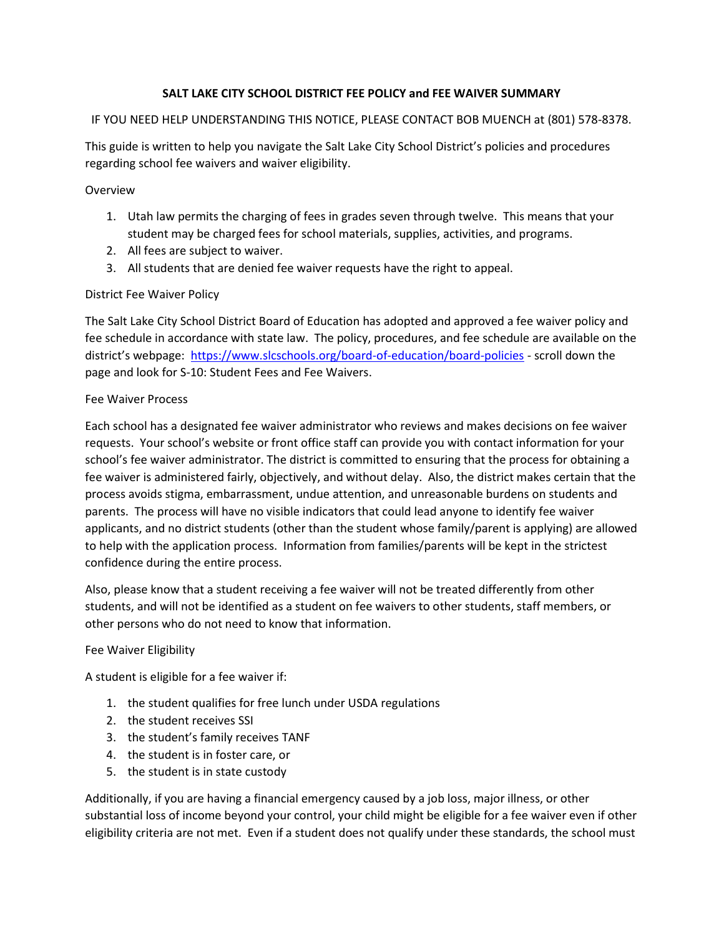## SALT LAKE CITY SCHOOL DISTRICT FEE POLICY and FEE WAIVER SUMMARY

### IF YOU NEED HELP UNDERSTANDING THIS NOTICE, PLEASE CONTACT BOB MUENCH at (801) 578-8378.

This guide is written to help you navigate the Salt Lake City School District's policies and procedures regarding school fee waivers and waiver eligibility.

Overview

- 1. Utah law permits the charging of fees in grades seven through twelve. This means that your student may be charged fees for school materials, supplies, activities, and programs.
- 2. All fees are subject to waiver.
- 3. All students that are denied fee waiver requests have the right to appeal.

### District Fee Waiver Policy

The Salt Lake City School District Board of Education has adopted and approved a fee waiver policy and fee schedule in accordance with state law. The policy, procedures, and fee schedule are available on the district's webpage: https://www.slcschools.org/board-of-education/board-policies - scroll down the page and look for S-10: Student Fees and Fee Waivers.

### Fee Waiver Process

Each school has a designated fee waiver administrator who reviews and makes decisions on fee waiver requests. Your school's website or front office staff can provide you with contact information for your school's fee waiver administrator. The district is committed to ensuring that the process for obtaining a fee waiver is administered fairly, objectively, and without delay. Also, the district makes certain that the process avoids stigma, embarrassment, undue attention, and unreasonable burdens on students and parents. The process will have no visible indicators that could lead anyone to identify fee waiver applicants, and no district students (other than the student whose family/parent is applying) are allowed to help with the application process. Information from families/parents will be kept in the strictest confidence during the entire process.

Also, please know that a student receiving a fee waiver will not be treated differently from other students, and will not be identified as a student on fee waivers to other students, staff members, or other persons who do not need to know that information.

# Fee Waiver Eligibility

A student is eligible for a fee waiver if:

- 1. the student qualifies for free lunch under USDA regulations
- 2. the student receives SSI
- 3. the student's family receives TANF
- 4. the student is in foster care, or
- 5. the student is in state custody

Additionally, if you are having a financial emergency caused by a job loss, major illness, or other substantial loss of income beyond your control, your child might be eligible for a fee waiver even if other eligibility criteria are not met. Even if a student does not qualify under these standards, the school must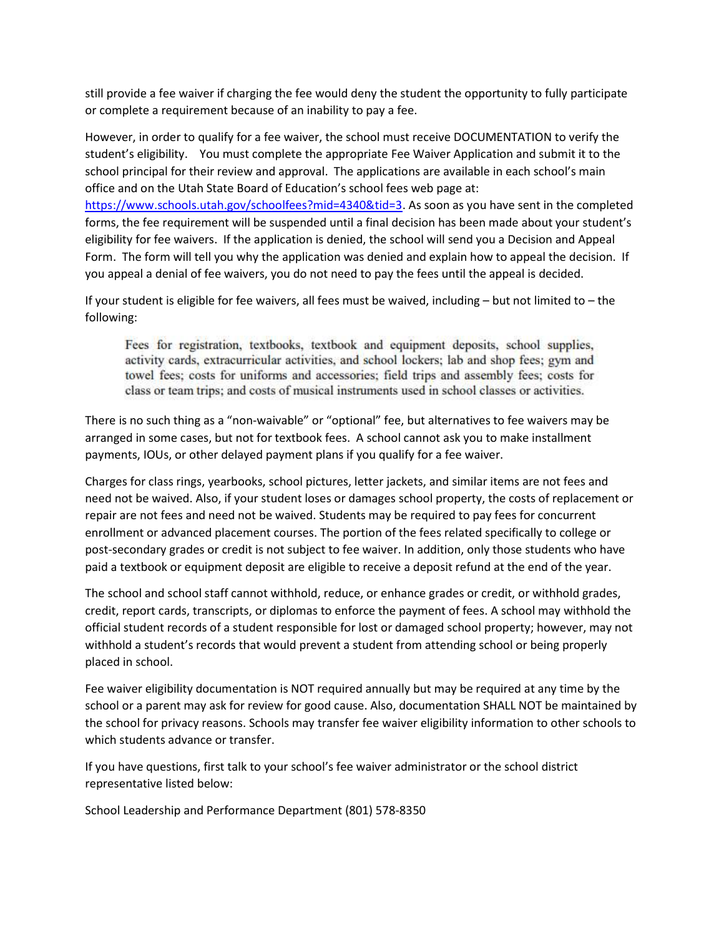still provide a fee waiver if charging the fee would deny the student the opportunity to fully participate or complete a requirement because of an inability to pay a fee.

However, in order to qualify for a fee waiver, the school must receive DOCUMENTATION to verify the student's eligibility. You must complete the appropriate Fee Waiver Application and submit it to the school principal for their review and approval. The applications are available in each school's main office and on the Utah State Board of Education's school fees web page at:

https://www.schools.utah.gov/schoolfees?mid=4340&tid=3. As soon as you have sent in the completed forms, the fee requirement will be suspended until a final decision has been made about your student's eligibility for fee waivers. If the application is denied, the school will send you a Decision and Appeal Form. The form will tell you why the application was denied and explain how to appeal the decision. If you appeal a denial of fee waivers, you do not need to pay the fees until the appeal is decided.

If your student is eligible for fee waivers, all fees must be waived, including – but not limited to – the following:

Fees for registration, textbooks, textbook and equipment deposits, school supplies, activity cards, extracurricular activities, and school lockers; lab and shop fees; gym and towel fees; costs for uniforms and accessories; field trips and assembly fees; costs for class or team trips; and costs of musical instruments used in school classes or activities.

There is no such thing as a "non-waivable" or "optional" fee, but alternatives to fee waivers may be arranged in some cases, but not for textbook fees. A school cannot ask you to make installment payments, IOUs, or other delayed payment plans if you qualify for a fee waiver.

Charges for class rings, yearbooks, school pictures, letter jackets, and similar items are not fees and need not be waived. Also, if your student loses or damages school property, the costs of replacement or repair are not fees and need not be waived. Students may be required to pay fees for concurrent enrollment or advanced placement courses. The portion of the fees related specifically to college or post-secondary grades or credit is not subject to fee waiver. In addition, only those students who have paid a textbook or equipment deposit are eligible to receive a deposit refund at the end of the year.

The school and school staff cannot withhold, reduce, or enhance grades or credit, or withhold grades, credit, report cards, transcripts, or diplomas to enforce the payment of fees. A school may withhold the official student records of a student responsible for lost or damaged school property; however, may not withhold a student's records that would prevent a student from attending school or being properly placed in school.

Fee waiver eligibility documentation is NOT required annually but may be required at any time by the school or a parent may ask for review for good cause. Also, documentation SHALL NOT be maintained by the school for privacy reasons. Schools may transfer fee waiver eligibility information to other schools to which students advance or transfer.

If you have questions, first talk to your school's fee waiver administrator or the school district representative listed below:

School Leadership and Performance Department (801) 578-8350